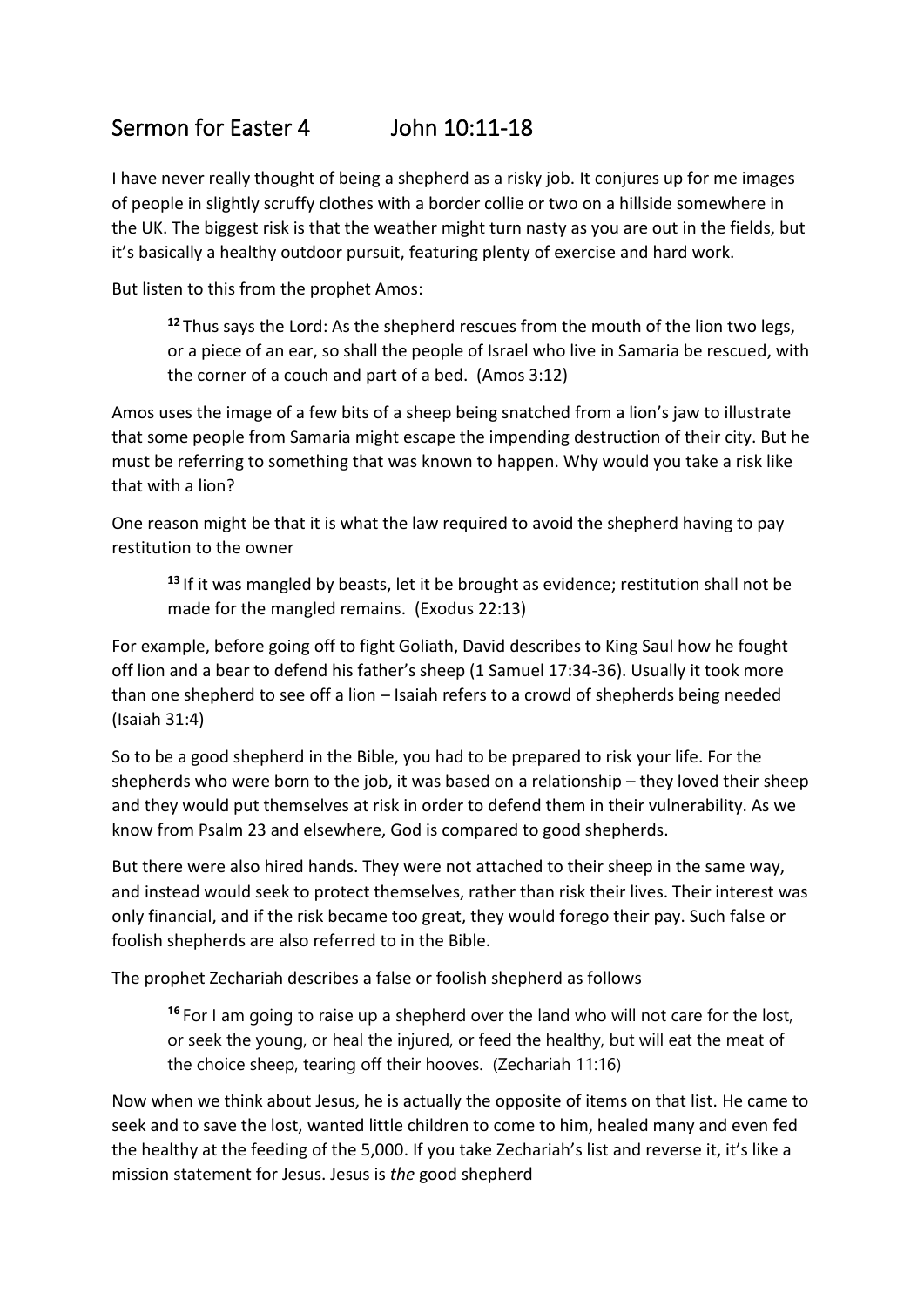## Sermon for Easter 4 John 10:11-18

I have never really thought of being a shepherd as a risky job. It conjures up for me images of people in slightly scruffy clothes with a border collie or two on a hillside somewhere in the UK. The biggest risk is that the weather might turn nasty as you are out in the fields, but it's basically a healthy outdoor pursuit, featuring plenty of exercise and hard work.

But listen to this from the prophet Amos:

**<sup>12</sup>** Thus says the Lord: As the shepherd rescues from the mouth of the lion two legs, or a piece of an ear, so shall the people of Israel who live in Samaria be rescued, with the corner of a couch and part of a bed. (Amos 3:12)

Amos uses the image of a few bits of a sheep being snatched from a lion's jaw to illustrate that some people from Samaria might escape the impending destruction of their city. But he must be referring to something that was known to happen. Why would you take a risk like that with a lion?

One reason might be that it is what the law required to avoid the shepherd having to pay restitution to the owner

**<sup>13</sup>** If it was mangled by beasts, let it be brought as evidence; restitution shall not be made for the mangled remains. (Exodus 22:13)

For example, before going off to fight Goliath, David describes to King Saul how he fought off lion and a bear to defend his father's sheep (1 Samuel 17:34-36). Usually it took more than one shepherd to see off a lion – Isaiah refers to a crowd of shepherds being needed (Isaiah 31:4)

So to be a good shepherd in the Bible, you had to be prepared to risk your life. For the shepherds who were born to the job, it was based on a relationship – they loved their sheep and they would put themselves at risk in order to defend them in their vulnerability. As we know from Psalm 23 and elsewhere, God is compared to good shepherds.

But there were also hired hands. They were not attached to their sheep in the same way, and instead would seek to protect themselves, rather than risk their lives. Their interest was only financial, and if the risk became too great, they would forego their pay. Such false or foolish shepherds are also referred to in the Bible.

The prophet Zechariah describes a false or foolish shepherd as follows

**<sup>16</sup>** For I am going to raise up a shepherd over the land who will not care for the lost, or seek the young, or heal the injured, or feed the healthy, but will eat the meat of the choice sheep, tearing off their hooves. (Zechariah 11:16)

Now when we think about Jesus, he is actually the opposite of items on that list. He came to seek and to save the lost, wanted little children to come to him, healed many and even fed the healthy at the feeding of the 5,000. If you take Zechariah's list and reverse it, it's like a mission statement for Jesus. Jesus is *the* good shepherd